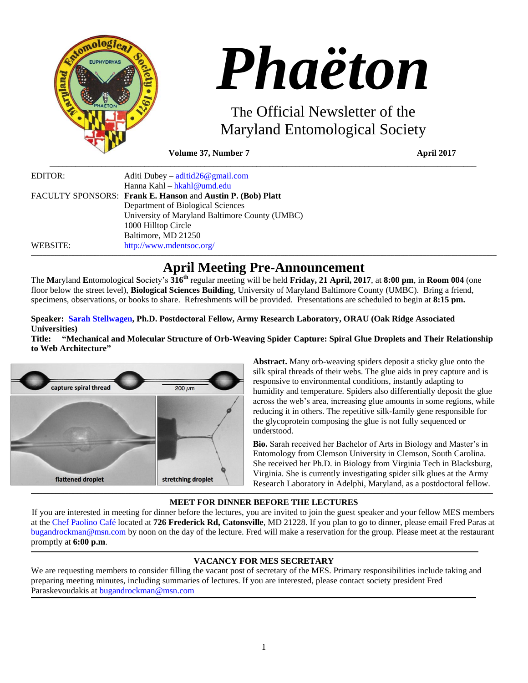

# *Phaëton*

The Official Newsletter of the Maryland Entomological Society

**Volume 37, Number 7 April 2017** 

| EDITOR:  | Aditi Dubey – aditid $26@$ gmail.com                        |
|----------|-------------------------------------------------------------|
|          | Hanna Kahl – hkahl@umd.edu                                  |
|          | FACULTY SPONSORS: Frank E. Hanson and Austin P. (Bob) Platt |
|          | Department of Biological Sciences                           |
|          | University of Maryland Baltimore County (UMBC)              |
|          | 1000 Hilltop Circle                                         |
|          | Baltimore, MD 21250                                         |
| WEBSITE: | http://www.mdentsoc.org/                                    |

# **April Meeting Pre-Announcement**

 $\_$  , and the set of the set of the set of the set of the set of the set of the set of the set of the set of the set of the set of the set of the set of the set of the set of the set of the set of the set of the set of th

The **M**aryland **E**ntomological **S**ociety's **316th** regular meeting will be held **Friday, 21 April, 2017**, at **8:00 pm**, in **Room 004** (one floor below the street level), **Biological Sciences Building**, University of Maryland Baltimore County (UMBC). Bring a friend, specimens, observations, or books to share. Refreshments will be provided. Presentations are scheduled to begin at **8:15 pm.**

# **Speaker: [Sarah Stellwagen,](https://www.researchgate.net/profile/Sarah_Stellwagen) Ph.D. Postdoctoral Fellow, Army Research Laboratory, ORAU (Oak Ridge Associated Universities)**

**Title: "Mechanical and Molecular Structure of Orb-Weaving Spider Capture: Spiral Glue Droplets and Their Relationship to Web Architecture"**



**Abstract.** Many orb-weaving spiders deposit a sticky glue onto the silk spiral threads of their webs. The glue aids in prey capture and is responsive to environmental conditions, instantly adapting to humidity and temperature. Spiders also differentially deposit the glue across the web's area, increasing glue amounts in some regions, while reducing it in others. The repetitive silk-family gene responsible for the glycoprotein composing the glue is not fully sequenced or understood.

**Bio.** Sarah received her Bachelor of Arts in Biology and Master's in Entomology from Clemson University in Clemson, South Carolina. She received her Ph.D. in Biology from Virginia Tech in Blacksburg, Virginia. She is currently investigating spider silk glues at the Army Research Laboratory in Adelphi, Maryland, as a postdoctoral fellow.

# **MEET FOR DINNER BEFORE THE LECTURES**

If you are interested in meeting for dinner before the lectures, you are invited to join the guest speaker and your fellow MES members at the [Chef Paolino Café](https://www.google.com/maps/place/Chef+Paolino+Cafe/@39.2727924,-76.7320191,15z/data=!4m5!3m4!1s0x0:0x5b7140dd2ad4f543!8m2!3d39.2727924!4d-76.7320191) located at **726 Frederick Rd, Catonsville**, MD 21228. If you plan to go to dinner, please email Fred Paras at [bugandrockman@msn.com](file:///C:/Users/Hanna/Downloads/bugandrockman@msn.com) by noon on the day of the lecture. Fred will make a reservation for the group. Please meet at the restaurant promptly at **6:00 p.m**.

# **VACANCY FOR MES SECRETARY**

We are requesting members to consider filling the vacant post of secretary of the MES. Primary responsibilities include taking and preparing meeting minutes, including summaries of lectures. If you are interested, please contact society president Fred Paraskevoudakis at [bugandrockman@msn.com](mailto:bugandrockman@msn.com)

,我们的人们就会不会不会。""我们的人们,我们也不会不会不会。""我们的人们,我们也不会不会不会不会。""我们的人们,我们也不会不会不会不会。""我们的人们,我<br>第一百一十一章 我们的人们,我们的人们的人们,我们的人们的人们,我们的人们的人们,我们的人们的人们,我们的人们的人们,我们的人们的人们,我们的人们的人们,我们的

,我们的人们就会不会不会。""我们的人们,我们也不会不会不会。""我们的人们,我们也不会不会不会不会。""我们的人们,我们也不会不会不会不会。""我们的人们,我<br>第二百一章 一个人们的人们,我们的人们的人们,我们的人们的人们,我们的人们的人们,我们的人们的人们,我们的人们的人们,我们的人们的人们,我们的人们的人们,我们的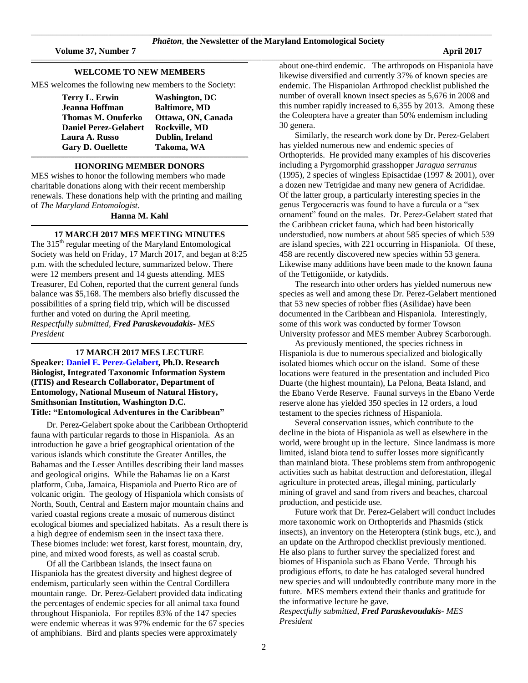\_\_\_\_\_\_\_\_\_\_\_\_\_\_\_\_\_\_\_\_\_\_\_\_\_\_\_\_\_\_\_\_\_\_\_\_\_\_\_\_\_\_\_\_\_\_\_\_\_\_\_\_\_\_\_\_\_\_\_\_\_\_\_\_\_\_\_\_\_\_\_\_\_\_\_\_\_\_\_\_\_\_\_\_\_\_\_\_\_\_\_\_\_\_\_\_\_\_\_\_\_\_\_\_\_\_\_\_\_\_\_\_\_\_\_\_\_\_\_\_\_\_\_\_\_\_\_\_\_\_\_\_\_\_\_\_\_\_\_\_\_\_\_\_\_\_\_\_\_\_\_\_\_\_\_\_\_\_\_\_\_\_\_\_\_\_\_\_\_\_\_\_\_\_\_\_\_\_\_\_\_\_\_\_\_\_\_\_\_\_\_\_\_\_\_\_\_\_\_\_\_\_\_\_\_\_\_\_\_\_\_\_\_\_

### **WELCOME TO NEW MEMBERS**

**\_\_\_\_\_\_\_\_\_\_\_\_\_\_\_\_\_\_\_\_\_\_\_\_\_\_\_\_\_\_\_\_\_\_\_\_\_\_\_\_\_\_\_\_\_\_\_\_\_\_\_\_\_\_\_\_\_\_\_\_\_\_\_\_\_\_\_\_\_\_\_\_\_\_\_\_\_\_\_\_\_\_\_\_\_\_\_\_\_\_\_\_\_\_\_\_\_\_\_\_\_\_\_\_\_\_\_\_\_\_\_\_\_\_\_\_\_\_\_\_\_\_\_\_\_\_\_\_\_\_\_\_\_\_\_\_\_\_\_\_\_\_\_\_\_\_\_\_\_\_\_\_\_\_\_\_\_\_\_\_\_\_\_\_\_\_\_\_**

MES welcomes the following new members to the Society:

**Terry L. Erwin Washington, DC Jeanna Hoffman** Baltimore, MD **Thomas M. Onuferko Ottawa, ON, Canada Daniel Perez-Gelabert Rockville, MD Laura A. Russo Dublin, Ireland Gary D. Ouellette Takoma, WA**

### **\_\_\_\_\_\_\_\_\_\_\_\_\_\_\_\_\_\_\_\_\_\_\_\_\_\_\_\_\_\_\_\_\_\_\_\_\_\_\_\_\_\_\_\_\_\_\_\_\_\_\_\_\_\_\_\_\_\_\_\_\_\_\_\_\_\_\_\_\_\_\_\_\_\_\_\_\_\_\_\_\_\_\_\_\_\_\_\_\_\_\_\_\_\_\_\_\_\_\_\_\_\_\_\_\_\_\_\_\_\_\_\_\_\_\_\_\_\_\_\_\_\_\_\_\_\_\_\_\_\_\_\_\_\_\_\_\_\_\_\_\_\_\_\_\_\_\_\_\_\_\_\_\_\_\_\_\_\_\_\_\_\_\_\_\_\_\_\_ HONORING MEMBER DONORS**

MES wishes to honor the following members who made charitable donations along with their recent membership renewals. These donations help with the printing and mailing of *The Maryland Entomologist*.

### **Hanna M. Kahl \_\_\_\_\_\_\_\_\_\_\_\_\_\_\_\_\_\_\_\_\_\_\_\_\_\_\_\_\_\_\_\_\_\_\_\_\_\_\_\_\_\_\_\_\_\_\_\_\_\_\_\_\_\_\_\_\_\_\_\_\_\_\_\_\_\_\_\_\_\_\_\_\_\_\_\_\_\_\_\_\_\_\_\_\_\_\_\_\_\_\_\_\_\_\_\_\_\_\_\_\_\_\_\_\_\_\_\_\_\_\_\_\_\_\_\_\_\_\_\_\_\_\_\_\_\_\_\_\_\_\_\_\_\_\_\_\_\_\_\_\_\_\_\_\_\_\_\_\_\_\_\_\_\_\_\_\_\_\_\_\_\_\_\_\_\_\_\_**

### **17 MARCH 2017 MES MEETING MINUTES**

The 315<sup>th</sup> regular meeting of the Maryland Entomological Society was held on Friday, 17 March 2017, and began at 8:25 p.m. with the scheduled lecture, summarized below. There were 12 members present and 14 guests attending. MES Treasurer, Ed Cohen, reported that the current general funds balance was \$5,168. The members also briefly discussed the possibilities of a spring field trip, which will be discussed further and voted on during the April meeting. *Respectfully submitted, Fred Paraskevoudakis- MES President* 

**\_\_\_\_\_\_\_\_\_\_\_\_\_\_\_\_\_\_\_\_\_\_\_\_\_\_\_\_\_\_\_\_\_\_\_\_\_\_\_\_\_\_\_\_\_\_\_\_\_\_\_\_\_\_\_\_\_\_\_\_\_\_\_\_\_\_\_\_\_\_\_\_\_\_\_\_\_\_\_\_\_\_\_\_\_\_\_\_\_\_\_\_\_\_\_\_\_\_\_\_\_\_\_\_\_\_\_\_\_\_\_\_\_\_\_\_\_\_\_\_\_\_\_\_\_\_\_\_\_\_\_\_\_\_\_\_\_\_\_\_\_\_\_\_\_\_\_\_\_\_\_\_\_\_\_\_\_\_\_\_\_\_\_\_\_\_\_**

### **17 MARCH 2017 MES LECTURE Speaker: [Daniel E. Perez-Gelabert,](https://www.researchgate.net/profile/Daniel_Perez-Gelabert) Ph.D. Research Biologist, Integrated Taxonomic Information System (ITIS) and Research Collaborator, Department of Entomology, National Museum of Natural History, Smithsonian Institution, Washington D.C. Title: "Entomological Adventures in the Caribbean"**

Dr. Perez-Gelabert spoke about the Caribbean Orthopterid fauna with particular regards to those in Hispaniola. As an introduction he gave a brief geographical orientation of the various islands which constitute the Greater Antilles, the Bahamas and the Lesser Antilles describing their land masses and geological origins. While the Bahamas lie on a Karst platform, Cuba, Jamaica, Hispaniola and Puerto Rico are of volcanic origin. The geology of Hispaniola which consists of North, South, Central and Eastern major mountain chains and varied coastal regions create a mosaic of numerous distinct ecological biomes and specialized habitats. As a result there is a high degree of endemism seen in the insect taxa there. These biomes include: wet forest, karst forest, mountain, dry, pine, and mixed wood forests, as well as coastal scrub.

Of all the Caribbean islands, the insect fauna on Hispaniola has the greatest diversity and highest degree of endemism, particularly seen within the Central Cordillera mountain range. Dr. Perez-Gelabert provided data indicating the percentages of endemic species for all animal taxa found throughout Hispaniola. For reptiles 83% of the 147 species were endemic whereas it was 97% endemic for the 67 species of amphibians. Bird and plants species were approximately

about one-third endemic. The arthropods on Hispaniola have likewise diversified and currently 37% of known species are endemic. The Hispaniolan Arthropod checklist published the number of overall known insect species as 5,676 in 2008 and this number rapidly increased to 6,355 by 2013. Among these the Coleoptera have a greater than 50% endemism including 30 genera.

Similarly, the research work done by Dr. Perez-Gelabert has yielded numerous new and endemic species of Orthopterids. He provided many examples of his discoveries including a Pyrgomorphid grasshopper *Jaragua serranus* (1995), 2 species of wingless Episactidae (1997  $& 2001$ ), over a dozen new Tetrigidae and many new genera of Acrididae. Of the latter group, a particularly interesting species in the genus Tergoceracris was found to have a furcula or a "sex ornament" found on the males. Dr. Perez-Gelabert stated that the Caribbean cricket fauna, which had been historically understudied, now numbers at about 585 species of which 539 are island species, with 221 occurring in Hispaniola. Of these, 458 are recently discovered new species within 53 genera. Likewise many additions have been made to the known fauna of the Tettigoniide, or katydids.

The research into other orders has yielded numerous new species as well and among these Dr. Perez-Gelabert mentioned that 53 new species of robber flies (Asilidae) have been documented in the Caribbean and Hispaniola. Interestingly, some of this work was conducted by former Towson University professor and MES member Aubrey Scarborough.

As previously mentioned, the species richness in Hispaniola is due to numerous specialized and biologically isolated biomes which occur on the island. Some of these locations were featured in the presentation and included Pico Duarte (the highest mountain), La Pelona, Beata Island, and the Ebano Verde Reserve. Faunal surveys in the Ebano Verde reserve alone has yielded 350 species in 12 orders, a loud testament to the species richness of Hispaniola.

Several conservation issues, which contribute to the decline in the biota of Hispaniola as well as elsewhere in the world, were brought up in the lecture. Since landmass is more limited, island biota tend to suffer losses more significantly than mainland biota. These problems stem from anthropogenic activities such as habitat destruction and deforestation, illegal agriculture in protected areas, illegal mining, particularly mining of gravel and sand from rivers and beaches, charcoal production, and pesticide use.

Future work that Dr. Perez-Gelabert will conduct includes more taxonomic work on Orthopterids and Phasmids (stick insects), an inventory on the Heteroptera (stink bugs, etc.), and an update on the Arthropod checklist previously mentioned. He also plans to further survey the specialized forest and biomes of Hispaniola such as Ebano Verde. Through his prodigious efforts, to date he has cataloged several hundred new species and will undoubtedly contribute many more in the future. MES members extend their thanks and gratitude for the informative lecture he gave.

*Respectfully submitted, Fred Paraskevoudakis- MES President*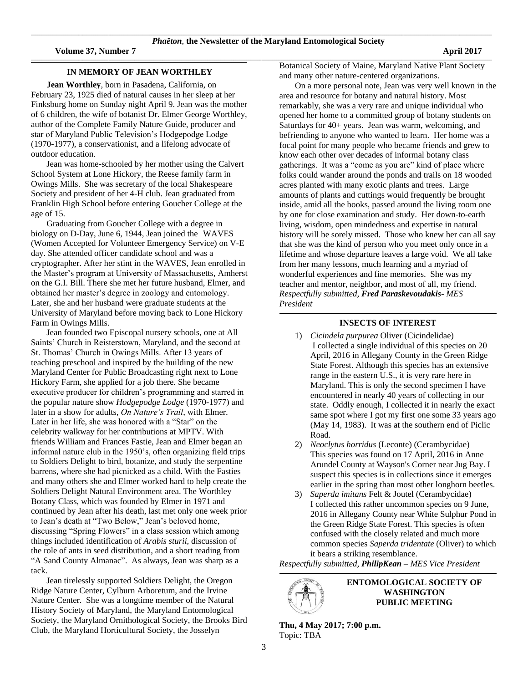\_\_\_\_\_\_\_\_\_\_\_\_\_\_\_\_\_\_\_\_\_\_\_\_\_\_\_\_\_\_\_\_\_\_\_\_\_\_\_\_\_\_\_\_\_\_\_\_\_\_\_\_\_\_\_\_\_\_\_\_\_\_\_\_\_\_\_\_\_\_\_\_\_\_\_\_\_\_\_\_\_\_\_\_\_\_\_\_\_\_\_\_\_\_\_\_\_\_\_\_\_\_\_\_\_\_\_\_\_\_\_\_\_\_\_\_\_\_\_\_\_\_\_\_\_\_\_\_\_\_\_\_\_\_\_\_\_\_\_\_\_\_\_\_\_\_\_\_\_\_\_\_\_\_\_\_\_\_\_\_\_\_\_\_\_\_\_\_\_\_\_\_\_\_\_\_\_\_\_\_\_\_\_\_\_\_\_\_\_\_\_\_\_\_\_\_\_\_\_\_\_\_\_\_\_\_\_\_\_\_\_\_\_\_

### **\_\_\_\_\_\_\_\_\_\_\_\_\_\_\_\_\_\_\_\_\_\_\_\_\_\_\_\_\_\_\_\_\_\_\_\_\_\_\_\_\_\_\_\_\_\_\_\_\_\_\_\_\_\_\_\_\_\_\_\_\_\_\_\_\_\_\_\_\_\_\_\_\_\_\_\_\_\_\_\_\_\_\_\_\_\_\_\_\_\_\_\_\_\_\_\_\_\_\_\_\_\_\_\_\_\_\_\_\_\_\_\_\_\_\_\_\_\_\_\_\_\_\_\_\_\_\_\_\_\_\_\_\_\_\_\_\_\_\_\_\_\_\_\_\_\_\_\_\_\_\_\_\_\_\_\_\_\_\_\_\_\_\_\_\_\_\_ IN MEMORY OF JEAN WORTHLEY**

**Jean Worthley**, born in Pasadena, California, on February 23, 1925 died of natural causes in her sleep at her Finksburg home on Sunday night April 9. Jean was the mother of 6 children, the wife of botanist Dr. Elmer George Worthley, author of the Complete Family Nature Guide, producer and star of Maryland Public Television's Hodgepodge Lodge (1970-1977), a conservationist, and a lifelong advocate of outdoor education.

Jean was home-schooled by her mother using the Calvert School System at Lone Hickory, the Reese family farm in Owings Mills. She was secretary of the local Shakespeare Society and president of her 4-H club. Jean graduated from Franklin High School before entering Goucher College at the age of 15.

Graduating from Goucher College with a degree in biology on D-Day, June 6, 1944, Jean joined the WAVES (Women Accepted for Volunteer Emergency Service) on V-E day. She attended officer candidate school and was a cryptographer. After her stint in the WAVES, Jean enrolled in the Master's program at University of Massachusetts, Amherst on the G.I. Bill. There she met her future husband, Elmer, and obtained her master's degree in zoology and entomology. Later, she and her husband were graduate students at the University of Maryland before moving back to Lone Hickory Farm in Owings Mills.

Jean founded two Episcopal nursery schools, one at All Saints' Church in Reisterstown, Maryland, and the second at St. Thomas' Church in Owings Mills. After 13 years of teaching preschool and inspired by the building of the new Maryland Center for Public Broadcasting right next to Lone Hickory Farm, she applied for a job there. She became executive producer for children's programming and starred in the popular nature show *Hodgepodge Lodge* (1970-1977) and later in a show for adults, *On Nature's Trail*, with Elmer. Later in her life, she was honored with a "Star" on the celebrity walkway for her contributions at MPTV. With friends William and Frances Fastie, Jean and Elmer began an informal nature club in the 1950's, often organizing field trips to Soldiers Delight to bird, botanize, and study the serpentine barrens, where she had picnicked as a child. With the Fasties and many others she and Elmer worked hard to help create the Soldiers Delight Natural Environment area. The Worthley Botany Class, which was founded by Elmer in 1971 and continued by Jean after his death, last met only one week prior to Jean's death at "Two Below," Jean's beloved home, discussing "Spring Flowers" in a class session which among things included identification of *Arabis sturii*, discussion of the role of ants in seed distribution, and a short reading from "A Sand County Almanac". As always, Jean was sharp as a tack.

Jean tirelessly supported Soldiers Delight, the Oregon Ridge Nature Center, Cylburn Arboretum, and the Irvine Nature Center. She was a longtime member of the Natural History Society of Maryland, the Maryland Entomological Society, the Maryland Ornithological Society, the Brooks Bird Club, the Maryland Horticultural Society, the Josselyn

Botanical Society of Maine, Maryland Native Plant Society and many other nature-centered organizations.

On a more personal note, Jean was very well known in the area and resource for botany and natural history. Most remarkably, she was a very rare and unique individual who opened her home to a committed group of botany students on Saturdays for 40+ years. Jean was warm, welcoming, and befriending to anyone who wanted to learn. Her home was a focal point for many people who became friends and grew to know each other over decades of informal botany class gatherings. It was a "come as you are" kind of place where folks could wander around the ponds and trails on 18 wooded acres planted with many exotic plants and trees. Large amounts of plants and cuttings would frequently be brought inside, amid all the books, passed around the living room one by one for close examination and study. Her down-to-earth living, wisdom, open mindedness and expertise in natural history will be sorely missed. Those who knew her can all say that she was the kind of person who you meet only once in a lifetime and whose departure leaves a large void. We all take from her many lessons, much learning and a myriad of wonderful experiences and fine memories. She was my teacher and mentor, neighbor, and most of all, my friend. *Respectfully submitted, Fred Paraskevoudakis- MES President* 

### **\_\_\_\_\_\_\_\_\_\_\_\_\_\_\_\_\_\_\_\_\_\_\_\_\_\_\_\_\_\_\_\_\_\_\_\_\_\_\_\_\_\_\_\_\_\_\_\_\_\_\_\_\_\_\_\_\_\_\_\_\_\_\_\_\_\_\_\_\_\_\_\_\_\_\_\_\_\_\_\_\_\_\_\_\_\_\_\_\_\_\_\_\_\_\_\_\_\_\_\_\_\_\_\_\_\_\_\_\_\_\_\_\_\_\_\_\_\_\_\_\_\_\_\_\_\_\_\_\_\_\_\_\_\_\_\_\_\_\_\_\_\_\_\_\_\_\_\_\_\_\_\_\_\_\_\_\_\_\_\_\_\_\_\_\_\_\_\_ INSECTS OF INTEREST**

- 1) *Cicindela purpurea* Oliver (Cicindelidae) I collected a single individual of this species on 20 April, 2016 in Allegany County in the Green Ridge State Forest. Although this species has an extensive range in the eastern U.S., it is very rare here in Maryland. This is only the second specimen I have encountered in nearly 40 years of collecting in our state. Oddly enough, I collected it in nearly the exact same spot where I got my first one some 33 years ago (May 14, 1983). It was at the southern end of Piclic Road.
- 2) *Neoclytus horridus* (Leconte) (Cerambycidae) This species was found on 17 April, 2016 in Anne Arundel County at Wayson's Corner near Jug Bay. I suspect this species is in collections since it emerges earlier in the spring than most other longhorn beetles.
- 3) *Saperda imitans* Felt & Joutel (Cerambycidae) I collected this rather uncommon species on 9 June, 2016 in Allegany County near White Sulphur Pond in the Green Ridge State Forest. This species is often confused with the closely related and much more common species *Saperda tridentate* (Oliver) to which it bears a striking resemblance.

*Respectfully submitted, PhilipKean – MES Vice President*

**\_\_\_\_\_\_\_\_\_\_\_\_\_\_\_\_\_\_\_\_\_\_\_\_\_\_\_\_\_\_\_\_\_\_\_\_\_\_\_\_\_\_\_\_\_\_\_\_\_\_\_\_\_\_\_\_\_\_\_\_\_\_\_\_\_\_\_\_\_\_\_\_\_\_\_\_\_\_\_\_\_\_\_\_\_\_\_\_\_\_\_\_\_\_\_\_\_\_\_\_\_\_\_\_\_\_\_\_\_\_\_\_\_\_\_\_\_\_\_\_\_\_\_\_\_\_\_\_\_\_\_\_\_\_\_\_\_\_\_\_\_\_\_\_\_\_\_\_\_\_\_\_\_\_\_\_\_\_\_\_\_\_\_\_\_\_\_\_**



**ENTOMOLOGICAL SOCIETY OF WASHINGTON PUBLIC MEETING**

**Thu, 4 May 2017; 7:00 p.m.** Topic: TBA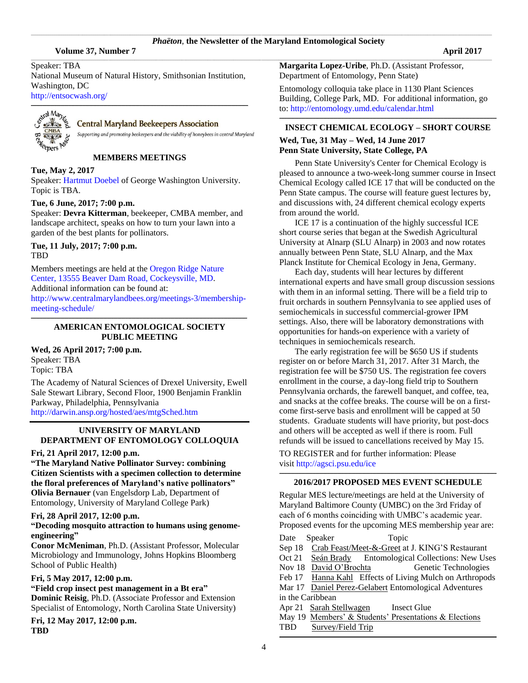\_\_\_\_\_\_\_\_\_\_\_\_\_\_\_\_\_\_\_\_\_\_\_\_\_\_\_\_\_\_\_\_\_\_\_\_\_\_\_\_\_\_\_\_\_\_\_\_\_\_\_\_\_\_\_\_\_\_\_\_\_\_\_\_\_\_\_\_\_\_\_\_\_\_\_\_\_\_\_\_\_\_\_\_\_\_\_\_\_\_\_\_\_\_\_\_\_\_\_\_\_\_\_\_\_\_\_\_\_\_\_\_\_\_\_\_\_\_\_\_\_\_\_\_\_\_\_\_\_\_\_\_\_\_\_\_\_\_\_\_\_\_\_\_\_\_\_\_\_\_\_\_\_\_\_\_\_\_\_\_\_\_\_\_\_\_\_\_\_\_\_\_\_\_\_\_\_\_\_\_\_\_\_\_\_\_\_\_\_\_\_\_\_\_\_\_\_\_\_\_\_\_\_\_\_\_\_\_\_\_\_\_\_\_

Speaker: TBA

National Museum of Natural History, Smithsonian Institution, Washington, DC <http://entsocwash.org/>

**\_\_\_\_\_\_\_\_\_\_\_\_\_\_\_\_\_\_\_\_\_\_\_\_\_\_\_\_\_\_\_\_\_\_\_\_\_\_\_\_\_\_\_\_\_\_\_\_\_\_\_\_\_\_\_\_\_\_\_\_\_\_\_\_\_\_\_\_\_\_\_\_\_\_\_\_\_\_\_\_\_\_\_\_\_\_\_\_\_\_\_\_\_\_\_\_\_\_\_\_\_\_\_\_\_\_\_\_\_\_\_\_\_\_\_\_\_\_\_\_\_\_\_\_\_\_\_\_\_\_\_\_\_\_\_\_\_\_\_\_\_\_\_\_\_\_\_\_\_\_\_\_\_\_\_\_\_\_\_\_\_\_\_\_\_\_\_\_**



# **Central Maryland Beekeepers Association**

Supporting and promoting beekeepers and the viability of honeybees in central Maryland

**MEMBERS MEETINGS**

### **Tue, May 2, 2017**

Speaker[: Hartmut Doebel](https://biology.columbian.gwu.edu/hartmut-g-doebel) of George Washington University. Topic is TBA.

# **Tue, 6 June, 2017; 7:00 p.m.**

Speaker: **Devra Kitterman**, beekeeper, CMBA member, and landscape architect, speaks on how to turn your lawn into a garden of the best plants for pollinators.

**Tue, 11 July, 2017; 7:00 p.m.** TBD

Members meetings are held at th[e Oregon Ridge Nature](https://www.google.com/maps/place/Oregon+Ridge+Nature+Center/@39.4970222,-76.6868097,15z/data=!4m2!3m1!1s0x0:0x9fbed14b2a0e98dd?sa=X&ved=0ahUKEwjkwILmv6jQAhXs6YMKHVsmDwgQ_BIIdDAK)  [Center, 13555 Beaver Dam Road, Cockeysville, MD.](https://www.google.com/maps/place/Oregon+Ridge+Nature+Center/@39.4970222,-76.6868097,15z/data=!4m2!3m1!1s0x0:0x9fbed14b2a0e98dd?sa=X&ved=0ahUKEwjkwILmv6jQAhXs6YMKHVsmDwgQ_BIIdDAK) 

Additional information can be found at:

[http://www.centralmarylandbees.org/meetings-3/membership](http://www.centralmarylandbees.org/meetings-3/membership-meeting-schedule/)[meeting-schedule/](http://www.centralmarylandbees.org/meetings-3/membership-meeting-schedule/) **\_\_\_\_\_\_\_\_\_\_\_\_\_\_\_\_\_\_\_\_\_\_\_\_\_\_\_\_\_\_\_\_\_\_\_\_\_\_\_\_\_\_\_\_\_\_\_\_\_\_\_\_\_\_\_\_\_\_\_\_\_\_\_\_\_\_\_\_\_\_\_\_\_\_\_\_\_\_\_\_\_\_\_\_\_\_\_\_\_\_\_\_\_\_\_\_\_\_\_\_\_\_\_\_\_\_\_\_\_\_\_\_\_\_\_\_\_\_\_\_\_\_\_\_\_\_\_\_\_\_\_\_\_\_\_\_\_\_\_\_\_\_\_\_\_\_\_\_\_\_\_\_\_\_\_\_\_\_\_\_\_\_\_\_\_\_\_**

# **AMERICAN ENTOMOLOGICAL SOCIETY PUBLIC MEETING**

**Wed, 26 April 2017; 7:00 p.m.** Speaker: TBA Topic: TBA

The Academy of Natural Sciences of Drexel University, Ewell Sale Stewart Library, Second Floor, 1900 Benjamin Franklin Parkway, Philadelphia, Pennsylvania <http://darwin.ansp.org/hosted/aes/mtgSched.htm>

### **UNIVERSITY OF MARYLAND DEPARTMENT OF ENTOMOLOGY COLLOQUIA**

### **Fri, 21 April 2017, 12:00 p.m.**

**"The Maryland Native Pollinator Survey: combining Citizen Scientists with a specimen collection to determine the floral preferences of Maryland's native pollinators" Olivia Bernauer** (van Engelsdorp Lab, Department of Entomology, University of Maryland College Park)

### **Fri, 28 April 2017, 12:00 p.m.**

# **"Decoding mosquito attraction to humans using genomeengineering"**

**Conor McMeniman**, Ph.D. (Assistant Professor, Molecular Microbiology and Immunology, Johns Hopkins Bloomberg School of Public Health)

# **Fri, 5 May 2017, 12:00 p.m.**

### **"Field crop insect pest management in a Bt era" Dominic Reisig**, Ph.D. (Associate Professor and Extension Specialist of Entomology, North Carolina State University)

**Fri, 12 May 2017, 12:00 p.m. TBD**

**Margarita Lopez-Uribe**, Ph.D. (Assistant Professor, Department of Entomology, Penn State)

Entomology colloquia take place in 1130 Plant Sciences Building, College Park, MD. For additional information, go to:<http://entomology.umd.edu/calendar.html>

# **INSECT CHEMICAL ECOLOGY – SHORT COURSE Wed, Tue, 31 May – Wed, 14 June 2017 Penn State University, State College, PA**

**\_\_\_\_\_\_\_\_\_\_\_\_\_\_\_\_\_\_\_\_\_\_\_\_\_\_\_\_\_\_\_\_\_\_\_\_\_\_\_\_\_\_\_\_\_\_\_\_\_\_\_\_\_\_\_\_\_\_\_\_\_\_\_\_\_\_\_\_\_\_\_\_\_\_\_\_\_\_\_\_\_\_\_\_\_\_\_\_\_\_\_\_\_\_\_\_\_\_\_\_\_\_\_\_\_\_\_\_\_\_\_\_\_\_\_\_\_\_\_\_\_\_\_\_\_\_\_\_\_\_\_\_\_\_\_\_\_\_\_\_\_\_\_\_\_\_\_\_\_\_\_\_\_\_\_\_\_\_\_\_\_\_\_\_\_\_\_\_**

Penn State University's Center for Chemical Ecology is pleased to announce a two-week-long summer course in Insect Chemical Ecology called ICE 17 that will be conducted on the Penn State campus. The course will feature guest lectures by, and discussions with, 24 different chemical ecology experts from around the world.

ICE 17 is a continuation of the highly successful ICE short course series that began at the Swedish Agricultural University at Alnarp (SLU Alnarp) in 2003 and now rotates annually between Penn State, SLU Alnarp, and the Max Planck Institute for Chemical Ecology in Jena, Germany.

Each day, students will hear lectures by different international experts and have small group discussion sessions with them in an informal setting. There will be a field trip to fruit orchards in southern Pennsylvania to see applied uses of semiochemicals in successful commercial-grower IPM settings. Also, there will be laboratory demonstrations with opportunities for hands-on experience with a variety of techniques in semiochemicals research.

The early registration fee will be \$650 US if students register on or before March 31, 2017. After 31 March, the registration fee will be \$750 US. The registration fee covers enrollment in the course, a day-long field trip to Southern Pennsylvania orchards, the farewell banquet, and coffee, tea, and snacks at the coffee breaks. The course will be on a firstcome first-serve basis and enrollment will be capped at 50 students. Graduate students will have priority, but post-docs and others will be accepted as well if there is room. Full refunds will be issued to cancellations received by May 15.

TO REGISTER and for further information: Please visit <http://agsci.psu.edu/ice>

### **\_\_\_\_\_\_\_\_\_\_\_\_\_\_\_\_\_\_\_\_\_\_\_\_\_\_\_\_\_\_\_\_\_\_\_\_\_\_\_\_\_\_\_\_\_\_\_\_\_\_\_\_\_\_\_\_\_\_\_\_\_\_\_\_\_\_\_\_\_\_\_\_\_\_\_\_\_\_\_\_\_\_\_\_\_\_\_\_\_\_\_\_\_\_\_\_\_\_\_\_\_\_\_\_\_\_\_\_\_\_\_\_\_\_\_\_\_\_\_\_\_\_\_\_\_\_\_\_\_\_\_\_\_\_\_\_\_\_\_\_\_\_\_\_\_\_\_\_\_\_\_\_\_\_\_\_\_\_\_\_\_\_\_\_\_\_\_\_ 2016/2017 PROPOSED MES EVENT SCHEDULE**

Regular MES lecture/meetings are held at the University of Maryland Baltimore County (UMBC) on the 3rd Friday of each of 6 months coinciding with UMBC's academic year. Proposed events for the upcoming MES membership year are: Date Speaker Topic Sep 18 Crab Feast/Meet-&-Greet at J. KING'S Restaurant

Oct 21 Seán Brady Entomological Collections: New Uses Nov 18 David O'Brochta Genetic Technologies Feb 17 Hanna Kahl Effects of Living Mulch on Arthropods

Mar 17 Daniel Perez-Gelabert Entomological Adventures

**\_\_\_\_\_\_\_\_\_\_\_\_\_\_\_\_\_\_\_\_\_\_\_\_\_\_\_\_\_\_\_\_\_\_\_\_\_\_\_\_\_\_\_\_\_\_\_\_\_\_\_\_\_\_\_\_\_\_\_\_\_\_\_\_\_\_\_\_\_\_\_\_\_\_\_\_\_\_\_\_\_\_\_\_\_\_\_\_\_\_\_\_\_\_\_\_\_\_\_\_\_\_\_\_\_\_\_\_\_\_\_\_\_\_\_\_\_\_\_\_\_\_\_\_\_\_\_\_\_\_\_\_\_\_\_\_\_\_\_\_\_\_\_\_\_\_\_\_\_\_\_\_\_\_\_\_\_\_\_\_\_\_\_\_\_\_\_\_**

in the Caribbean

Apr 21 Sarah Stellwagen Insect Glue

May 19 Members' & Students' Presentations & Elections TBD Survey/Field Trip